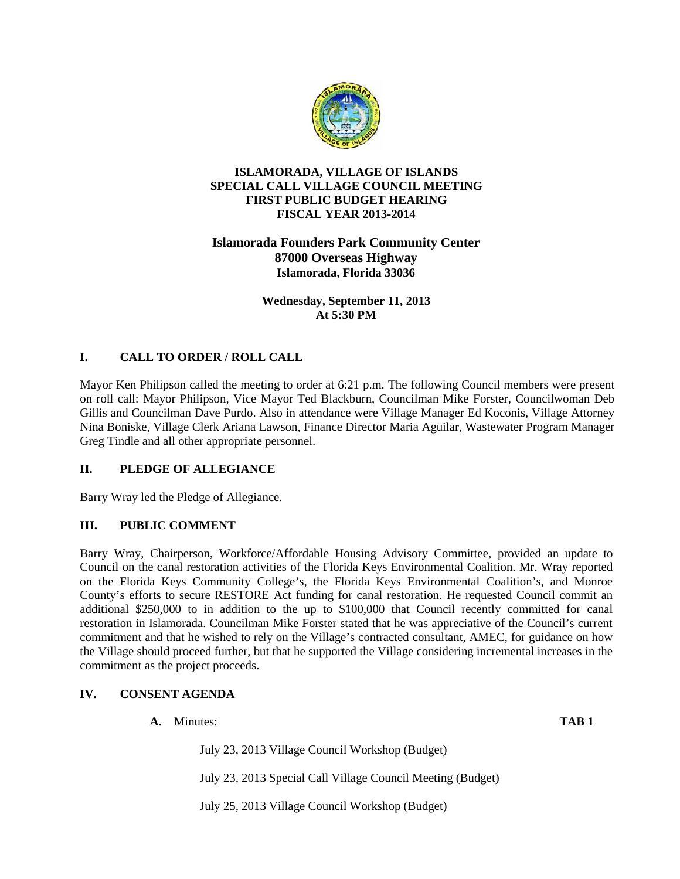

### **ISLAMORADA, VILLAGE OF ISLANDS SPECIAL CALL VILLAGE COUNCIL MEETING FIRST PUBLIC BUDGET HEARING FISCAL YEAR 2013-2014**

# **Islamorada Founders Park Community Center 87000 Overseas Highway Islamorada, Florida 33036**

**Wednesday, September 11, 2013 At 5:30 PM**

# **I. CALL TO ORDER / ROLL CALL**

Mayor Ken Philipson called the meeting to order at 6:21 p.m. The following Council members were present on roll call: Mayor Philipson, Vice Mayor Ted Blackburn, Councilman Mike Forster, Councilwoman Deb Gillis and Councilman Dave Purdo. Also in attendance were Village Manager Ed Koconis, Village Attorney Nina Boniske, Village Clerk Ariana Lawson, Finance Director Maria Aguilar, Wastewater Program Manager Greg Tindle and all other appropriate personnel.

# **II. PLEDGE OF ALLEGIANCE**

Barry Wray led the Pledge of Allegiance.

# **III. PUBLIC COMMENT**

Barry Wray, Chairperson, Workforce/Affordable Housing Advisory Committee, provided an update to Council on the canal restoration activities of the Florida Keys Environmental Coalition. Mr. Wray reported on the Florida Keys Community College's, the Florida Keys Environmental Coalition's, and Monroe County's efforts to secure RESTORE Act funding for canal restoration. He requested Council commit an additional \$250,000 to in addition to the up to \$100,000 that Council recently committed for canal restoration in Islamorada. Councilman Mike Forster stated that he was appreciative of the Council's current commitment and that he wished to rely on the Village's contracted consultant, AMEC, for guidance on how the Village should proceed further, but that he supported the Village considering incremental increases in the commitment as the project proceeds.

# **IV. CONSENT AGENDA**

- **A.** Minutes: **TAB 1** July 23, 2013 Village Council Workshop (Budget) July 23, 2013 Special Call Village Council Meeting (Budget)
	- July 25, 2013 Village Council Workshop (Budget)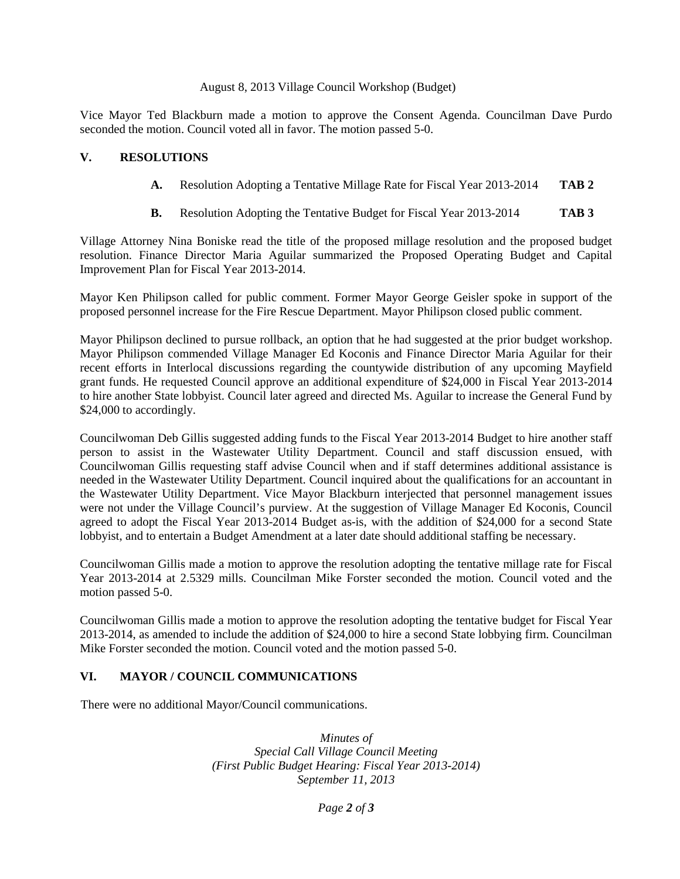#### August 8, 2013 Village Council Workshop (Budget)

Vice Mayor Ted Blackburn made a motion to approve the Consent Agenda. Councilman Dave Purdo seconded the motion. Council voted all in favor. The motion passed 5-0.

### **V. RESOLUTIONS**

- **A.** Resolution Adopting a Tentative Millage Rate for Fiscal Year 2013-2014 **TAB 2**
- **B.** Resolution Adopting the Tentative Budget for Fiscal Year 2013-2014 **TAB 3**

Village Attorney Nina Boniske read the title of the proposed millage resolution and the proposed budget resolution. Finance Director Maria Aguilar summarized the Proposed Operating Budget and Capital Improvement Plan for Fiscal Year 2013-2014.

Mayor Ken Philipson called for public comment. Former Mayor George Geisler spoke in support of the proposed personnel increase for the Fire Rescue Department. Mayor Philipson closed public comment.

Mayor Philipson declined to pursue rollback, an option that he had suggested at the prior budget workshop. Mayor Philipson commended Village Manager Ed Koconis and Finance Director Maria Aguilar for their recent efforts in Interlocal discussions regarding the countywide distribution of any upcoming Mayfield grant funds. He requested Council approve an additional expenditure of \$24,000 in Fiscal Year 2013-2014 to hire another State lobbyist. Council later agreed and directed Ms. Aguilar to increase the General Fund by \$24,000 to accordingly.

Councilwoman Deb Gillis suggested adding funds to the Fiscal Year 2013-2014 Budget to hire another staff person to assist in the Wastewater Utility Department. Council and staff discussion ensued, with Councilwoman Gillis requesting staff advise Council when and if staff determines additional assistance is needed in the Wastewater Utility Department. Council inquired about the qualifications for an accountant in the Wastewater Utility Department. Vice Mayor Blackburn interjected that personnel management issues were not under the Village Council's purview. At the suggestion of Village Manager Ed Koconis, Council agreed to adopt the Fiscal Year 2013-2014 Budget as-is, with the addition of \$24,000 for a second State lobbyist, and to entertain a Budget Amendment at a later date should additional staffing be necessary.

Councilwoman Gillis made a motion to approve the resolution adopting the tentative millage rate for Fiscal Year 2013-2014 at 2.5329 mills. Councilman Mike Forster seconded the motion. Council voted and the motion passed 5-0.

Councilwoman Gillis made a motion to approve the resolution adopting the tentative budget for Fiscal Year 2013-2014, as amended to include the addition of \$24,000 to hire a second State lobbying firm. Councilman Mike Forster seconded the motion. Council voted and the motion passed 5-0.

### **VI. MAYOR / COUNCIL COMMUNICATIONS**

There were no additional Mayor/Council communications.

*Minutes of Special Call Village Council Meeting (First Public Budget Hearing: Fiscal Year 2013-2014) September 11, 2013*

*Page 2 of 3*